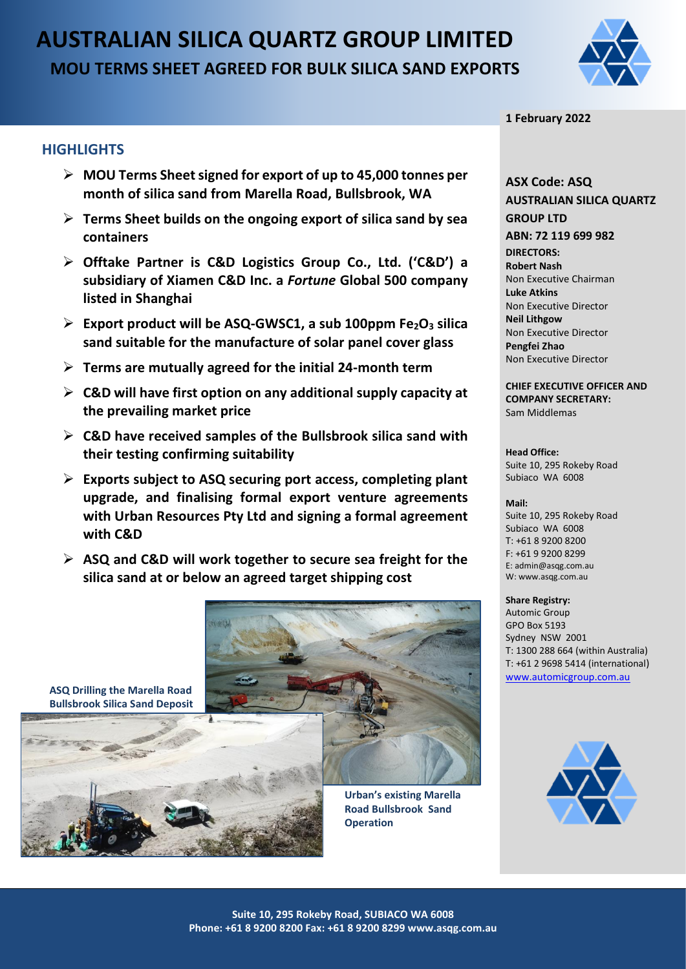# **AUSTRALIAN SILICA QUARTZ GROUP LIMITED MOU TERMS SHEET AGREED FOR BULK SILICA SAND EXPORTS**



# **HIGHLIGHTS**

- ➢ **MOU Terms Sheetsigned for export of up to 45,000 tonnes per month of silica sand from Marella Road, Bullsbrook, WA**
- ➢ **Terms Sheet builds on the ongoing export of silica sand by sea containers**
- ➢ **Offtake Partner is C&D Logistics Group Co., Ltd. ('C&D') a subsidiary of Xiamen C&D Inc. a** *Fortune* **Global 500 company listed in Shanghai**
- ➢ **Export product will be ASQ-GWSC1, a sub 100ppm Fe2O<sup>3</sup> silica sand suitable for the manufacture of solar panel cover glass**
- ➢ **Terms are mutually agreed for the initial 24-month term**
- ➢ **C&D will have first option on any additional supply capacity at the prevailing market price**
- ➢ **C&D have received samples of the Bullsbrook silica sand with their testing confirming suitability**
- ➢ **Exports subject to ASQ securing port access, completing plant upgrade, and finalising formal export venture agreements with Urban Resources Pty Ltd and signing a formal agreement with C&D**
- ➢ **ASQ and C&D will work together to secure sea freight for the silica sand at or below an agreed target shipping cost**

**ASQ Drilling the Marella Road Bullsbrook Silica Sand Deposit**



**Urban's existing Marella Road Bullsbrook Sand Operation**



# **ASX Code: ASQ AUSTRALIAN SILICA QUARTZ GROUP LTD ABN: 72 119 699 982 DIRECTORS:**

**Robert Nash** Non Executive Chairman **Luke Atkins**  Non Executive Director **Neil Lithgow** Non Executive Director **Pengfei Zhao** Non Executive Director

**CHIEF EXECUTIVE OFFICER AND COMPANY SECRETARY:** Sam Middlemas

# **Head Office:**

Suite 10, 295 Rokeby Road Subiaco WA 6008

#### **Mail:**

Suite 10, 295 Rokeby Road Subiaco WA 6008  $T: +61892008200$ F: +61 9 9200 8299 E: admin@asqg.com.au W: www.asqg.com.au

#### **Share Registry:**

Automic Group GPO Box 5193 Sydney NSW 2001 T: 1300 288 664 (within Australia) T: +61 2 9698 5414 (international) [www.automicgroup.com.au](http://www.automicgroup.com.au/)

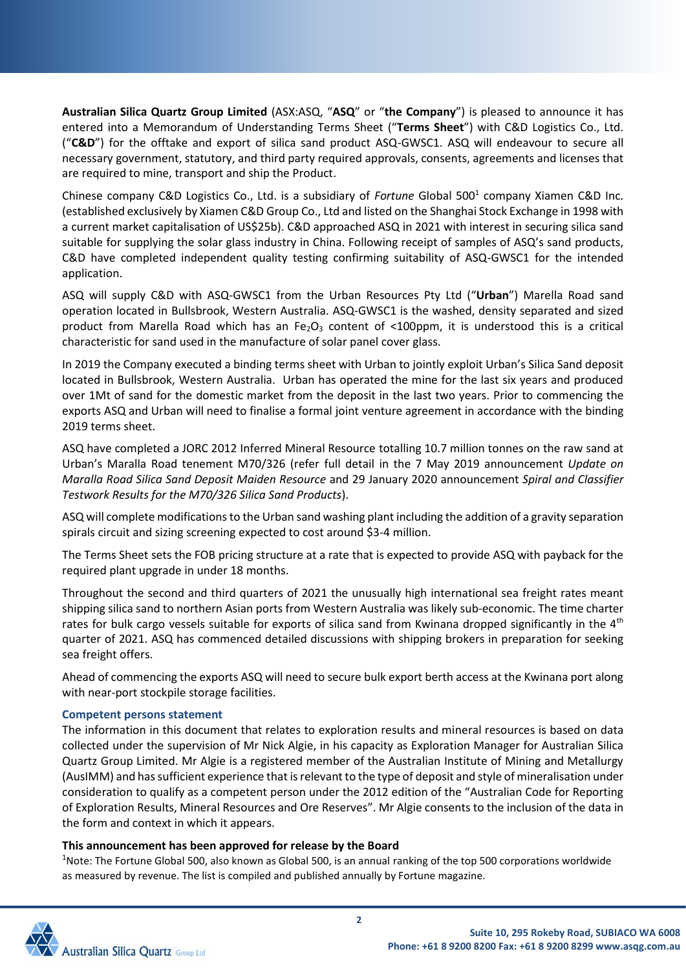**Australian Silica Quartz Group Limited** (ASX:ASQ, "**ASQ**" or "**the Company**") is pleased to announce it has entered into a Memorandum of Understanding Terms Sheet ("**Terms Sheet**") with C&D Logistics Co., Ltd. ("**C&D**") for the offtake and export of silica sand product ASQ-GWSC1. ASQ will endeavour to secure all necessary government, statutory, and third party required approvals, consents, agreements and licenses that are required to mine, transport and ship the Product.

Chinese company C&D Logistics Co., Ltd. is a subsidiary of *Fortune* Global 500<sup>1</sup> company Xiamen C&D Inc. (established exclusively by Xiamen C&D Group Co., Ltd and listed on the Shanghai Stock Exchange in 1998 with a current market capitalisation of US\$25b). C&D approached ASQ in 2021 with interest in securing silica sand suitable for supplying the solar glass industry in China. Following receipt of samples of ASQ's sand products, C&D have completed independent quality testing confirming suitability of ASQ-GWSC1 for the intended application.

ASQ will supply C&D with ASQ-GWSC1 from the Urban Resources Pty Ltd ("**Urban**") Marella Road sand operation located in Bullsbrook, Western Australia. ASQ-GWSC1 is the washed, density separated and sized product from Marella Road which has an Fe<sub>2</sub>O<sub>3</sub> content of <100ppm, it is understood this is a critical characteristic for sand used in the manufacture of solar panel cover glass.

In 2019 the Company executed a binding terms sheet with Urban to jointly exploit Urban's Silica Sand deposit located in Bullsbrook, Western Australia. Urban has operated the mine for the last six years and produced over 1Mt of sand for the domestic market from the deposit in the last two years. Prior to commencing the exports ASQ and Urban will need to finalise a formal joint venture agreement in accordance with the binding 2019 terms sheet.

ASQ have completed a JORC 2012 Inferred Mineral Resource totalling 10.7 million tonnes on the raw sand at Urban's Maralla Road tenement M70/326 (refer full detail in the 7 May 2019 announcement *Update on Maralla Road Silica Sand Deposit Maiden Resource* and 29 January 2020 announcement *Spiral and Classifier Testwork Results for the M70/326 Silica Sand Products*).

ASQ will complete modifications to the Urban sand washing plant including the addition of a gravity separation spirals circuit and sizing screening expected to cost around \$3-4 million.

The Terms Sheet sets the FOB pricing structure at a rate that is expected to provide ASQ with payback for the required plant upgrade in under 18 months.

Throughout the second and third quarters of 2021 the unusually high international sea freight rates meant shipping silica sand to northern Asian ports from Western Australia was likely sub-economic. The time charter rates for bulk cargo vessels suitable for exports of silica sand from Kwinana dropped significantly in the 4<sup>th</sup> quarter of 2021. ASQ has commenced detailed discussions with shipping brokers in preparation for seeking sea freight offers.

Ahead of commencing the exports ASQ will need to secure bulk export berth access at the Kwinana port along with near-port stockpile storage facilities.

### **Competent persons statement**

The information in this document that relates to exploration results and mineral resources is based on data collected under the supervision of Mr Nick Algie, in his capacity as Exploration Manager for Australian Silica Quartz Group Limited. Mr Algie is a registered member of the Australian Institute of Mining and Metallurgy (AusIMM) and has sufficient experience that is relevant to the type of deposit and style of mineralisation under consideration to qualify as a competent person under the 2012 edition of the "Australian Code for Reporting of Exploration Results, Mineral Resources and Ore Reserves". Mr Algie consents to the inclusion of the data in the form and context in which it appears.

### **This announcement has been approved for release by the Board**

<sup>1</sup>Note: The Fortune Global 500, also known as Global 500, is an annual ranking of the top 500 corporations worldwide as measured by revenue. The list is compiled and published annually by Fortune magazine.

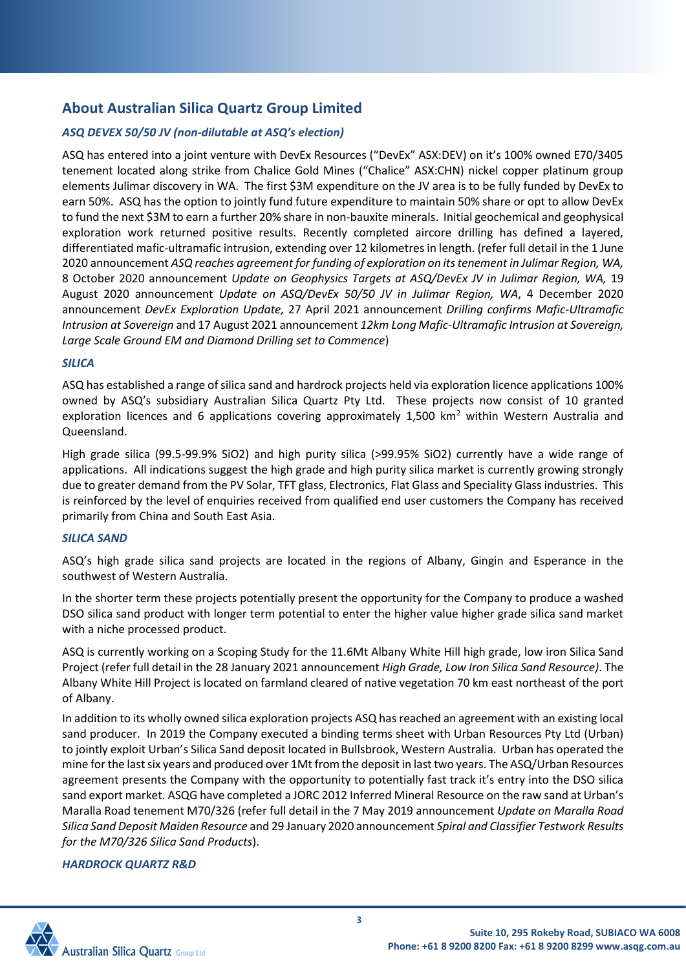# **About Australian Silica Quartz Group Limited**

# *ASQ DEVEX 50/50 JV (non-dilutable at ASQ's election)*

ASQ has entered into a joint venture with DevEx Resources ("DevEx" ASX:DEV) on it's 100% owned E70/3405 tenement located along strike from Chalice Gold Mines ("Chalice" ASX:CHN) nickel copper platinum group elements Julimar discovery in WA. The first \$3M expenditure on the JV area is to be fully funded by DevEx to earn 50%. ASQ has the option to jointly fund future expenditure to maintain 50% share or opt to allow DevEx to fund the next \$3M to earn a further 20% share in non-bauxite minerals. Initial geochemical and geophysical exploration work returned positive results. Recently completed aircore drilling has defined a layered, differentiated mafic-ultramafic intrusion, extending over 12 kilometres in length. (refer full detail in the 1 June 2020 announcement *ASQ reaches agreement for funding of exploration on its tenement in Julimar Region, WA,*  8 October 2020 announcement *Update on Geophysics Targets at ASQ/DevEx JV in Julimar Region, WA,* 19 August 2020 announcement *Update on ASQ/DevEx 50/50 JV in Julimar Region, WA*, 4 December 2020 announcement *DevEx Exploration Update,* 27 April 2021 announcement *Drilling confirms Mafic-Ultramafic Intrusion at Sovereign* and 17 August 2021 announcement *12km Long Mafic-Ultramafic Intrusion at Sovereign, Large Scale Ground EM and Diamond Drilling set to Commence*)

### *SILICA*

ASQ has established a range of silica sand and hardrock projects held via exploration licence applications 100% owned by ASQ's subsidiary Australian Silica Quartz Pty Ltd. These projects now consist of 10 granted exploration licences and 6 applications covering approximately 1,500 km<sup>2</sup> within Western Australia and Queensland.

High grade silica (99.5-99.9% SiO2) and high purity silica (>99.95% SiO2) currently have a wide range of applications. All indications suggest the high grade and high purity silica market is currently growing strongly due to greater demand from the PV Solar, TFT glass, Electronics, Flat Glass and Speciality Glass industries. This is reinforced by the level of enquiries received from qualified end user customers the Company has received primarily from China and South East Asia.

# *SILICA SAND*

ASQ's high grade silica sand projects are located in the regions of Albany, Gingin and Esperance in the southwest of Western Australia.

In the shorter term these projects potentially present the opportunity for the Company to produce a washed DSO silica sand product with longer term potential to enter the higher value higher grade silica sand market with a niche processed product.

ASQ is currently working on a Scoping Study for the 11.6Mt Albany White Hill high grade, low iron Silica Sand Project (refer full detail in the 28 January 2021 announcement *High Grade, Low Iron Silica Sand Resource)*. The Albany White Hill Project is located on farmland cleared of native vegetation 70 km east northeast of the port of Albany.

In addition to its wholly owned silica exploration projects ASQ has reached an agreement with an existing local sand producer. In 2019 the Company executed a binding terms sheet with Urban Resources Pty Ltd (Urban) to jointly exploit Urban's Silica Sand deposit located in Bullsbrook, Western Australia. Urban has operated the mine for the last six years and produced over 1Mt from the deposit in last two years. The ASQ/Urban Resources agreement presents the Company with the opportunity to potentially fast track it's entry into the DSO silica sand export market. ASQG have completed a JORC 2012 Inferred Mineral Resource on the raw sand at Urban's Maralla Road tenement M70/326 (refer full detail in the 7 May 2019 announcement *Update on Maralla Road Silica Sand Deposit Maiden Resource* and 29 January 2020 announcement *Spiral and Classifier Testwork Results for the M70/326 Silica Sand Products*).

# *HARDROCK QUARTZ R&D*

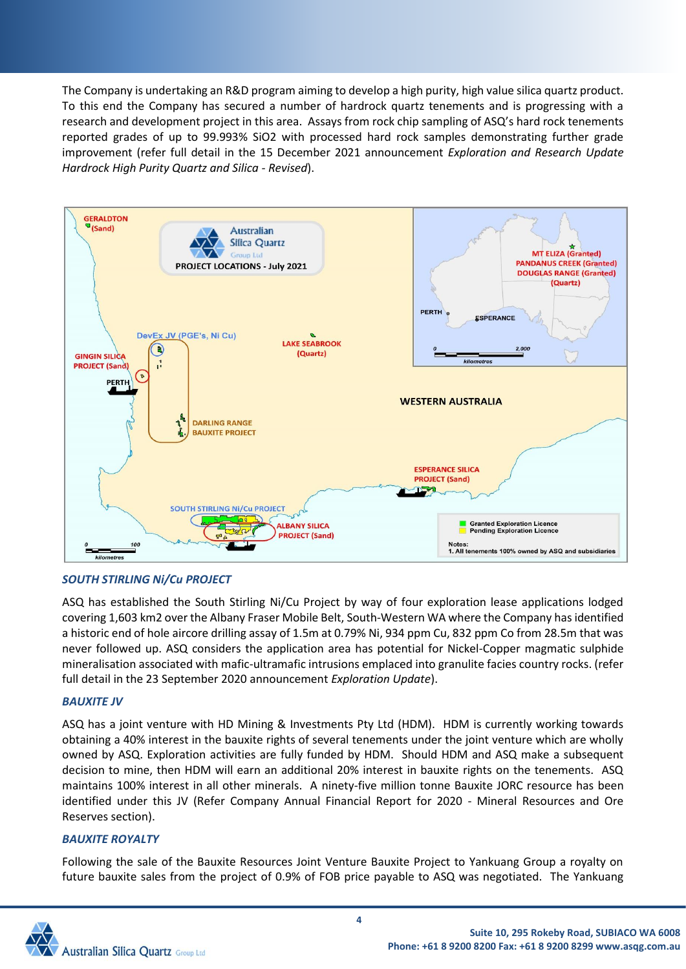The Company is undertaking an R&D program aiming to develop a high purity, high value silica quartz product. To this end the Company has secured a number of hardrock quartz tenements and is progressing with a research and development project in this area. Assays from rock chip sampling of ASQ's hard rock tenements reported grades of up to 99.993% SiO2 with processed hard rock samples demonstrating further grade improvement (refer full detail in the 15 December 2021 announcement *Exploration and Research Update Hardrock High Purity Quartz and Silica - Revised*).



# *SOUTH STIRLING Ni/Cu PROJECT*

ASQ has established the South Stirling Ni/Cu Project by way of four exploration lease applications lodged covering 1,603 km2 over the Albany Fraser Mobile Belt, South-Western WA where the Company has identified a historic end of hole aircore drilling assay of 1.5m at 0.79% Ni, 934 ppm Cu, 832 ppm Co from 28.5m that was never followed up. ASQ considers the application area has potential for Nickel-Copper magmatic sulphide mineralisation associated with mafic-ultramafic intrusions emplaced into granulite facies country rocks. (refer full detail in the 23 September 2020 announcement *Exploration Update*).

# *BAUXITE JV*

ASQ has a joint venture with HD Mining & Investments Pty Ltd (HDM). HDM is currently working towards obtaining a 40% interest in the bauxite rights of several tenements under the joint venture which are wholly owned by ASQ. Exploration activities are fully funded by HDM. Should HDM and ASQ make a subsequent decision to mine, then HDM will earn an additional 20% interest in bauxite rights on the tenements. ASQ maintains 100% interest in all other minerals. A ninety-five million tonne Bauxite JORC resource has been identified under this JV (Refer Company Annual Financial Report for 2020 - Mineral Resources and Ore Reserves section).

### *BAUXITE ROYALTY*

Following the sale of the Bauxite Resources Joint Venture Bauxite Project to Yankuang Group a royalty on future bauxite sales from the project of 0.9% of FOB price payable to ASQ was negotiated. The Yankuang